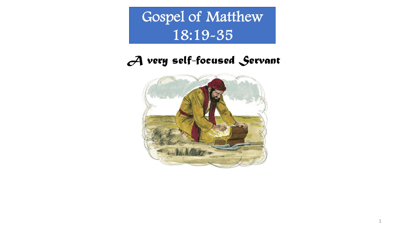Gospel of Matthew 18:19-35

## *A very self-focused Servant*



1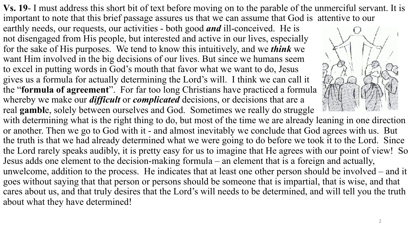**Vs. 19**- I must address this short bit of text before moving on to the parable of the unmerciful servant. It is important to note that this brief passage assures us that we can assume that God is attentive to our

earthly needs, our requests, our activities - both good *and* ill-conceived. He is not disengaged from His people, but interested and active in our lives, especially for the sake of His purposes. We tend to know this intuitively, and we *think* we want Him involved in the big decisions of our lives. But since we humans seem to excel in putting words in God's mouth that favor what we want to do, Jesus gives us a formula for actually determining the Lord's will. I think we can call it the "**formula of agreement**". For far too long Christians have practiced a formula whereby we make our *difficult* or *complicated* decisions, or decisions that are a real **gambl**e, solely between ourselves and God. Sometimes we really do struggle



with determining what is the right thing to do, but most of the time we are already leaning in one direction or another. Then we go to God with it - and almost inevitably we conclude that God agrees with us. But the truth is that we had already determined what we were going to do before we took it to the Lord. Since the Lord rarely speaks audibly, it is pretty easy for us to imagine that He agrees with our point of view! So Jesus adds one element to the decision-making formula – an element that is a foreign and actually, unwelcome, addition to the process. He indicates that at least one other person should be involved – and it goes without saying that that person or persons should be someone that is impartial, that is wise, and that cares about us, and that truly desires that the Lord's will needs to be determined, and will tell you the truth about what they have determined!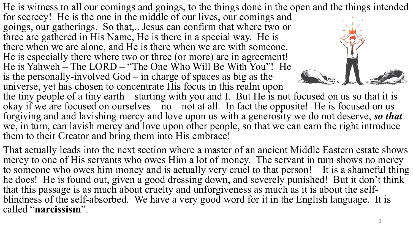He is witness to all our comings and goings, to the things done in the open and the things intended for secrecy! He is the one in the middle of our lives, our comings and goings, our gatherings. So that,.. Jesus can confirm that where two or three are gathered in His Name, He is there in a special way. He is there when we are alone, and He is there when we are with someone. He is especially there where two or three (or more) are in agreement! He is Yahweh – The LORD – "The One Who Will Be With You"! He is the personally-involved God – in charge of spaces as big as the universe, yet has chosen to concentrate His focus in this realm upon the tiny people of a tiny earth – starting with you and I. But He is not focused on us so that it is okay if we are focused on ourselves – no – not at all. In fact the opposite! He is focused on us – forgiving and and lavishing mercy and love upon us with a generosity we do not deserve, *so that*

we, in turn, can lavish mercy and love upon other people, so that we can earn the right introduce them to their Creator and bring them into His embrace!

That actually leads into the next section where a master of an ancient Middle Eastern estate shows mercy to one of His servants who owes Him a lot of money. The servant in turn shows no mercy to someone who owes him money and is actually very cruel to that person! It is a shameful thing he does! He is found out, given a good dressing down, and severely punished! But it don't think<br>that this passage is as much about cruelty and unforgiveness as much as it is about the selfblindness of the self-absorbed. We have a very good word for it in the English language. It is called "**narcissism**".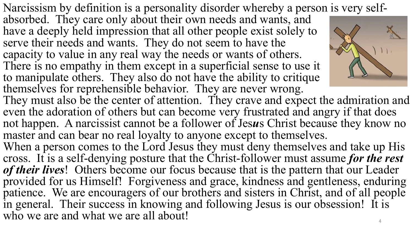Narcissism by definition is a personality disorder whereby a person is very self- absorbed. They care only about their own needs and wants, and

have a deeply held impression that all other people exist solely to serve their needs and wants. They do not seem to have the capacity to value in any real way the needs or wants of others. There is no empathy in them except in a superficial sense to use it to manipulate others. They also do not have the ability to critique themselves for reprehensible behavior. They are never wrong.



They must also be the center of attention. They crave and expect the admiration and even the adoration of others but can become very frustrated and angry if that does not happen. A narcissist cannot be a follower of Jes*u*s Christ because they know no master and can bear no real loyalty to anyone except to themselves.

When a person comes to the Lord Jesus they must deny themselves and take up His cross. It is a self-denying posture that the Christ-follower must assume *for the rest of their lives*! Others become our focus because that is the pattern that our Leader provided for us Himself! Forgiveness and grace, kindness and gentleness, enduring patience. We are encouragers of our brothers and sisters in Christ, and of all people in general. Their success in knowing and following Jesus is our obsession! It is who we are and what we are all about!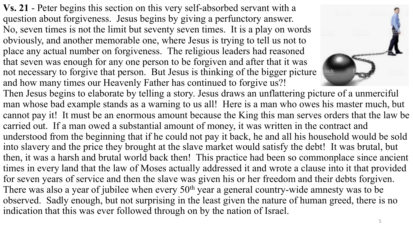**Vs. 21** - Peter begins this section on this very self-absorbed servant with a question about forgiveness. Jesus begins by giving a perfunctory answer. No, seven times is not the limit but seventy seven times. It is a play on words obviously, and another memorable one, where Jesus is trying to tell us not to place any actual number on forgiveness. The religious leaders had reasoned that seven was enough for any one person to be forgiven and after that it was not necessary to forgive that person. But Jesus is thinking of the bigger picture and how many times our Heavenly Father has continued to forgive us?!



Then Jesus begins to elaborate by telling a story. Jesus draws an unflattering picture of a unmerciful man whose bad example stands as a warning to us all! Here is a man who owes his master much, but cannot pay it! It must be an enormous amount because the King this man serves orders that the law be carried out. If a man owed a substantial amount of money, it was written in the contract and understood from the beginning that if he could not pay it back, he and all his household would be sold into slavery and the price they brought at the slave market would satisfy the debt! It was brutal, but then, it was a harsh and brutal world back then! This practice had been so commonplace since ancient times in every land that the law of Moses actually addressed it and wrote a clause into it that provided for seven years of service and then the slave was given his or her freedom and their debts forgiven. There was also a year of jubilee when every  $50<sup>th</sup>$  year a general country-wide amnesty was to be observed. Sadly enough, but not surprising in the least given the nature of human greed, there is no indication that this was ever followed through on by the nation of Israel.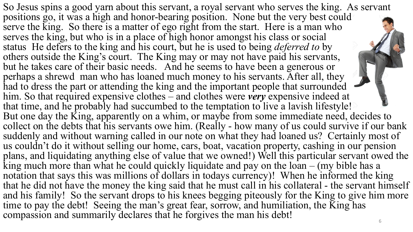So Jesus spins a good yarn about this servant, a royal servant who serves the king. As servant positions go, it was a high and honor-bearing position. None but the very best could serve the king. So there is a matter of ego right from the start. Here is a man who serves the king, but who is in a place of high honor amongst his class or social status He defers to the king and his court, but he is used to being *deferred to* by others outside the King's court. The King may or may not have paid his servants, but he takes care of their basic needs. And he seems to have been a generous or perhaps a shrewd man who has loaned much money to his servants. After all, they had to dress the part or attending the king and the important people that surrounded him. So that required expensive clothes – and clothes were *very* expensive indeed at that time, and he probably had succumbed to the temptation to live a lavish lifestyle! But one day the King, apparently on a whim, or maybe from some immediate need, decides to collect on the debts that his servants owe him. (Really - how many of us could survive if our bank suddenly and without warning called in our note on what they had loaned us? Certainly most of us couldn't do it without selling our home, cars, boat, vacation property, cashing in our pension plans, and liquidating anything else of value that we owned!) Well this particular servant owed the  $\overline{k}$ ing much more than what he could quickly liquidate and pay on the loan – (my bible has a notation that says this was millions of dollars in todays currency)! When he informed the king that he did not have the money the king said that he must call in his collateral - the servant himself and his family! So the servant drops to his knees begging piteously for the King to give him more time to pay the debt! Seeing the man's great fear, sorrow, and humiliation, the King has compassion and summarily declares that he forgives the man his debt!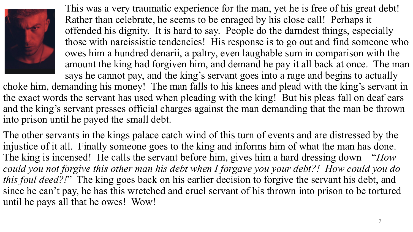

This was a very traumatic experience for the man, yet he is free of his great debt! Rather than celebrate, he seems to be enraged by his close call! Perhaps it offended his dignity. It is hard to say. People do the darndest things, especially those with narcissistic tendencies! His response is to go out and find someone who owes him a hundred denarii, a paltry, even laughable sum in comparison with the amount the king had forgiven him, and demand he pay it all back at once. The man says he cannot pay, and the king's servant goes into a rage and begins to actually

choke him, demanding his money! The man falls to his knees and plead with the king's servant in the exact words the servant has used when pleading with the king! But his pleas fall on deaf ears and the king's servant presses official charges against the man demanding that the man be thrown into prison until he payed the small debt.

The other servants in the kings palace catch wind of this turn of events and are distressed by the injustice of it all. Finally someone goes to the king and informs him of what the man has done. The king is incensed! He calls the servant before him, gives him a hard dressing down – "*How could you not forgive this other man his debt when I forgave you your debt?! How could you do this foul deed?!*" The king goes back on his earlier decision to forgive the servant his debt, and since he can't pay, he has this wretched and cruel servant of his thrown into prison to be tortured until he pays all that he owes! Wow!